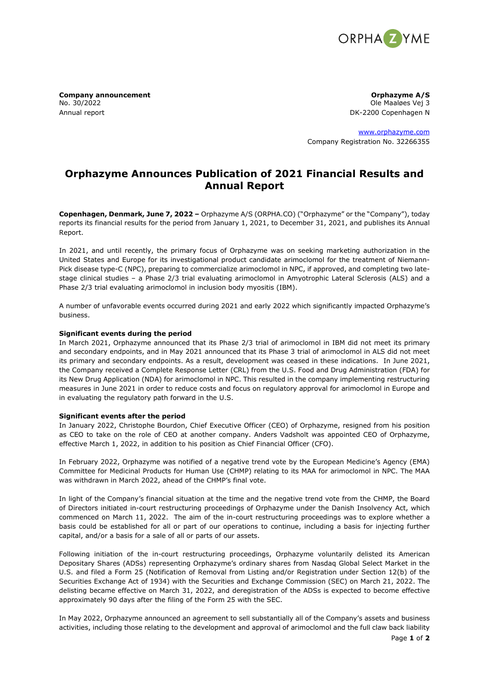

No. 30/2022 Ole Maaløes Vej 3 Annual report **DK-2200** Copenhagen N

**Company announcement Company announcement Company announcement Company announcement** 

[www.orphazyme.com](http://www.orphazyme.com/) Company Registration No. 32266355

# **Orphazyme Announces Publication of 2021 Financial Results and Annual Report**

**Copenhagen, Denmark, June 7, 2022 –** Orphazyme A/S (ORPHA.CO) ("Orphazyme" or the "Company"), today reports its financial results for the period from January 1, 2021, to December 31, 2021, and publishes its Annual Report.

In 2021, and until recently, the primary focus of Orphazyme was on seeking marketing authorization in the United States and Europe for its investigational product candidate arimoclomol for the treatment of Niemann-Pick disease type-C (NPC), preparing to commercialize arimoclomol in NPC, if approved, and completing two latestage clinical studies – a Phase 2/3 trial evaluating arimoclomol in Amyotrophic Lateral Sclerosis (ALS) and a Phase 2/3 trial evaluating arimoclomol in inclusion body myositis (IBM).

A number of unfavorable events occurred during 2021 and early 2022 which significantly impacted Orphazyme's business.

# **Significant events during the period**

In March 2021, Orphazyme announced that its Phase 2/3 trial of arimoclomol in IBM did not meet its primary and secondary endpoints, and in May 2021 announced that its Phase 3 trial of arimoclomol in ALS did not meet its primary and secondary endpoints. As a result, development was ceased in these indications. In June 2021, the Company received a Complete Response Letter (CRL) from the U.S. Food and Drug Administration (FDA) for its New Drug Application (NDA) for arimoclomol in NPC. This resulted in the company implementing restructuring measures in June 2021 in order to reduce costs and focus on regulatory approval for arimoclomol in Europe and in evaluating the regulatory path forward in the U.S.

# **Significant events after the period**

In January 2022, Christophe Bourdon, Chief Executive Officer (CEO) of Orphazyme, resigned from his position as CEO to take on the role of CEO at another company. Anders Vadsholt was appointed CEO of Orphazyme, effective March 1, 2022, in addition to his position as Chief Financial Officer (CFO).

In February 2022, Orphazyme was notified of a negative trend vote by the European Medicine's Agency (EMA) Committee for Medicinal Products for Human Use (CHMP) relating to its MAA for arimoclomol in NPC. The MAA was withdrawn in March 2022, ahead of the CHMP's final vote.

In light of the Company's financial situation at the time and the negative trend vote from the CHMP, the Board of Directors initiated in-court restructuring proceedings of Orphazyme under the Danish Insolvency Act, which commenced on March 11, 2022. The aim of the in-court restructuring proceedings was to explore whether a basis could be established for all or part of our operations to continue, including a basis for injecting further capital, and/or a basis for a sale of all or parts of our assets.

Following initiation of the in-court restructuring proceedings, Orphazyme voluntarily delisted its American Depositary Shares (ADSs) representing Orphazyme's ordinary shares from Nasdaq Global Select Market in the U.S. and filed a Form 25 (Notification of Removal from Listing and/or Registration under Section 12(b) of the Securities Exchange Act of 1934) with the Securities and Exchange Commission (SEC) on March 21, 2022. The delisting became effective on March 31, 2022, and deregistration of the ADSs is expected to become effective approximately 90 days after the filing of the Form 25 with the SEC.

In May 2022, Orphazyme announced an agreement to sell substantially all of the Company's assets and business activities, including those relating to the development and approval of arimoclomol and the full claw back liability